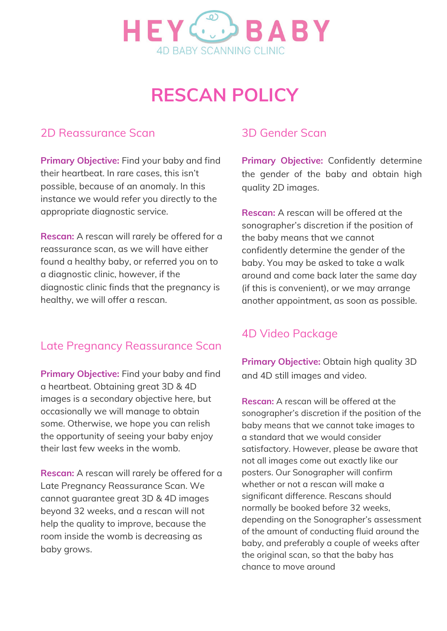

# **RESCAN POLICY**

### 2D Reassurance Scan

**Primary Objective:** Find your baby and find their heartbeat. In rare cases, this isn't possible, because of an anomaly. In this instance we would refer you directly to the appropriate diagnostic service.

**Rescan:** A rescan will rarely be offered for a reassurance scan, as we will have either found a healthy baby, or referred you on to a diagnostic clinic, however, if the diagnostic clinic finds that the pregnancy is healthy, we will offer a rescan.

#### Late Pregnancy Reassurance Scan

**Primary Objective:** Find your baby and find a heartbeat. Obtaining great 3D & 4D images is a secondary objective here, but occasionally we will manage to obtain some. Otherwise, we hope you can relish the opportunity of seeing your baby enjoy their last few weeks in the womb.

**Rescan:** A rescan will rarely be offered for a Late Pregnancy Reassurance Scan. We cannot guarantee great 3D & 4D images beyond 32 weeks, and a rescan will not help the quality to improve, because the room inside the womb is decreasing as baby grows.

#### 3D Gender Scan

**Primary Objective:** Confidently determine the gender of the baby and obtain high quality 2D images.

**Rescan:** A rescan will be offered at the sonographer's discretion if the position of the baby means that we cannot confidently determine the gender of the baby. You may be asked to take a walk around and come back later the same day (if this is convenient), or we may arrange another appointment, as soon as possible.

#### 4D Video Package

**Primary Objective:** Obtain high quality 3D and 4D still images and video.

**Rescan:** A rescan will be offered at the sonographer's discretion if the position of the baby means that we cannot take images to a standard that we would consider satisfactory. However, please be aware that not all images come out exactly like our posters. Our Sonographer will confirm whether or not a rescan will make a significant difference. Rescans should normally be booked before 32 weeks, depending on the Sonographer's assessment of the amount of conducting fluid around the baby, and preferably a couple of weeks after the original scan, so that the baby has chance to move around